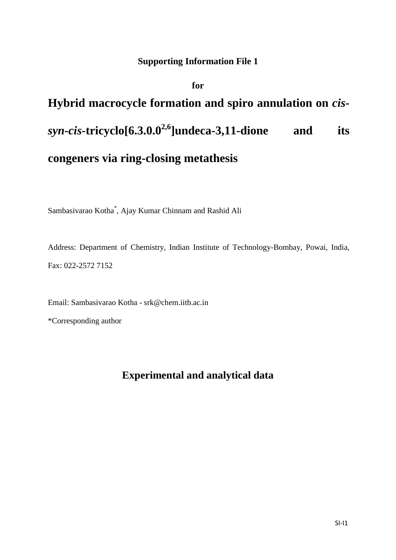## **Supporting Information File 1**

### **for**

# **Hybrid macrocycle formation and spiro annulation on** *cissyn-cis-***tricyclo[6.3.0.02,6]undeca-3,11-dione and its congeners via ring-closing metathesis**

Sambasivarao Kotha\* , Ajay Kumar Chinnam and Rashid Ali

Address: Department of Chemistry, Indian Institute of Technology-Bombay, Powai, India, Fax: 022-2572 7152

Email: Sambasivarao Kotha - srk@chem.iitb.ac.in

\*Corresponding author

# **Experimental and analytical data**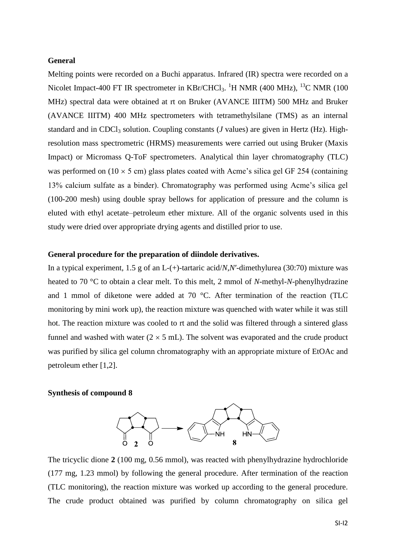#### **General**

Melting points were recorded on a Buchi apparatus. Infrared (IR) spectra were recorded on a Nicolet Impact-400 FT IR spectrometer in KBr/CHCl<sub>3</sub>. <sup>1</sup>H NMR (400 MHz), <sup>13</sup>C NMR (100 MHz) spectral data were obtained at rt on Bruker (AVANCE IIITM) 500 MHz and Bruker (AVANCE IIITM) 400 MHz spectrometers with tetramethylsilane (TMS) as an internal standard and in CDCl<sub>3</sub> solution. Coupling constants (*J* values) are given in Hertz (Hz). Highresolution mass spectrometric (HRMS) measurements were carried out using Bruker (Maxis Impact) or Micromass Q-ToF spectrometers. Analytical thin layer chromatography (TLC) was performed on  $(10 \times 5 \text{ cm})$  glass plates coated with Acme's silica gel GF 254 (containing 13% calcium sulfate as a binder). Chromatography was performed using Acme's silica gel (100-200 mesh) using double spray bellows for application of pressure and the column is eluted with ethyl acetate–petroleum ether mixture. All of the organic solvents used in this study were dried over appropriate drying agents and distilled prior to use.

#### **General procedure for the preparation of diindole derivatives.**

In a typical experiment, 1.5 g of an L-(+)-tartaric acid/*N*,*N*′-dimethylurea (30:70) mixture was heated to 70 °C to obtain a clear melt. To this melt, 2 mmol of *N*-methyl-*N*-phenylhydrazine and 1 mmol of diketone were added at 70 °C. After termination of the reaction (TLC monitoring by mini work up), the reaction mixture was quenched with water while it was still hot. The reaction mixture was cooled to rt and the solid was filtered through a sintered glass funnel and washed with water  $(2 \times 5 \text{ mL})$ . The solvent was evaporated and the crude product was purified by silica gel column chromatography with an appropriate mixture of EtOAc and petroleum ether [1,2].

#### **Synthesis of compound 8**



The tricyclic dione **2** (100 mg, 0.56 mmol), was reacted with phenylhydrazine hydrochloride (177 mg, 1.23 mmol) by following the general procedure. After termination of the reaction (TLC monitoring), the reaction mixture was worked up according to the general procedure. The crude product obtained was purified by column chromatography on silica gel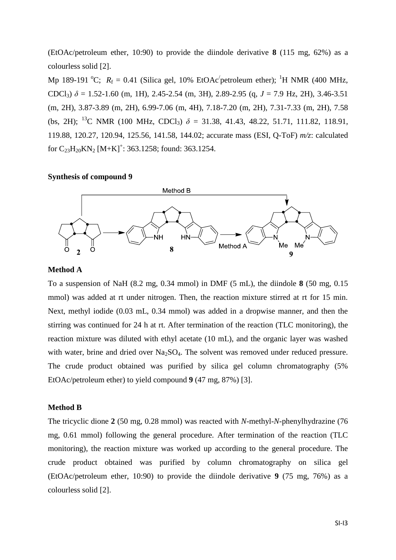(EtOAc/petroleum ether, 10:90) to provide the diindole derivative **8** (115 mg, 62%) as a colourless solid [2].

Mp 189-191 °C;  $R_f = 0.41$  (Silica gel, 10% EtOAc<sup> $\prime$ </sup> petroleum ether); <sup>1</sup>H NMR (400 MHz, CDCl<sub>3</sub>)  $\delta$  = 1.52-1.60 (m, 1H), 2.45-2.54 (m, 3H), 2.89-2.95 (q, *J* = 7.9 Hz, 2H), 3.46-3.51 (m, 2H), 3.87-3.89 (m, 2H), 6.99-7.06 (m, 4H), 7.18-7.20 (m, 2H), 7.31-7.33 (m, 2H), 7.58 (bs, 2H); <sup>13</sup>C NMR (100 MHz, CDCl<sub>3</sub>)  $\delta$  = 31.38, 41.43, 48.22, 51.71, 111.82, 118.91, 119.88, 120.27, 120.94, 125.56, 141.58, 144.02; accurate mass (ESI, Q-ToF) *m/z*: calculated for  $C_{23}H_{20}KN_2$  [M+K]<sup>+</sup>: 363.1258; found: 363.1254.

#### **Synthesis of compound 9**



#### **Method A**

To a suspension of NaH (8.2 mg, 0.34 mmol) in DMF (5 mL), the diindole **8** (50 mg, 0.15 mmol) was added at rt under nitrogen. Then, the reaction mixture stirred at rt for 15 min. Next, methyl iodide (0.03 mL, 0.34 mmol) was added in a dropwise manner, and then the stirring was continued for 24 h at rt. After termination of the reaction (TLC monitoring), the reaction mixture was diluted with ethyl acetate (10 mL), and the organic layer was washed with water, brine and dried over  $Na<sub>2</sub>SO<sub>4</sub>$ . The solvent was removed under reduced pressure. The crude product obtained was purified by silica gel column chromatography (5% EtOAc/petroleum ether) to yield compound **9** (47 mg, 87%) [3].

#### **Method B**

The tricyclic dione **2** (50 mg, 0.28 mmol) was reacted with *N*-methyl-*N*-phenylhydrazine (76 mg, 0.61 mmol) following the general procedure. After termination of the reaction (TLC monitoring), the reaction mixture was worked up according to the general procedure. The crude product obtained was purified by column chromatography on silica gel (EtOAc/petroleum ether, 10:90) to provide the diindole derivative **9** (75 mg, 76%) as a colourless solid [2].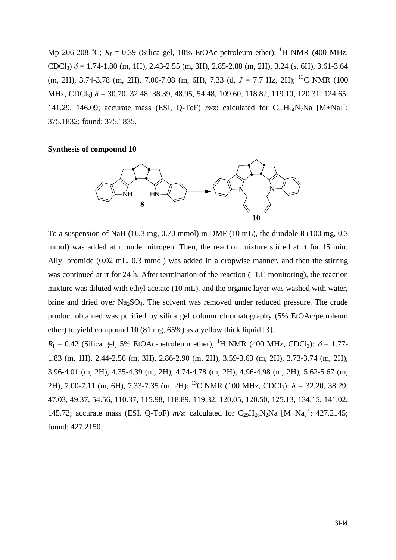Mp 206-208 °C;  $R_f = 0.39$  (Silica gel, 10% EtOAc-petroleum ether); <sup>1</sup>H NMR (400 MHz, CDCl<sub>3</sub>)  $\delta$  = 1.74-1.80 (m, 1H), 2.43-2.55 (m, 3H), 2.85-2.88 (m, 2H), 3.24 (s, 6H), 3.61-3.64 (m, 2H), 3.74-3.78 (m, 2H), 7.00-7.08 (m, 6H), 7.33 (d, *J* = 7.7 Hz, 2H); <sup>13</sup>C NMR (100 MHz, CDCl<sub>3</sub>)  $\delta$  = 30.70, 32.48, 38.39, 48.95, 54.48, 109.60, 118.82, 119.10, 120.31, 124.65, 141.29, 146.09; accurate mass (ESI, Q-ToF)  $m/z$ : calculated for C<sub>25</sub>H<sub>24</sub>N<sub>2</sub>Na [M+Na]<sup>+</sup>: 375.1832; found: 375.1835.

#### **Synthesis of compound 10**



To a suspension of NaH (16.3 mg, 0.70 mmol) in DMF (10 mL), the diindole **8** (100 mg, 0.3 mmol) was added at rt under nitrogen. Then, the reaction mixture stirred at rt for 15 min. Allyl bromide (0.02 mL, 0.3 mmol) was added in a dropwise manner, and then the stirring was continued at rt for 24 h. After termination of the reaction (TLC monitoring), the reaction mixture was diluted with ethyl acetate (10 mL), and the organic layer was washed with water, brine and dried over  $Na<sub>2</sub>SO<sub>4</sub>$ . The solvent was removed under reduced pressure. The crude product obtained was purified by silica gel column chromatography (5% EtOAc/petroleum ether) to yield compound **10** (81 mg, 65%) as a yellow thick liquid [3].

 $R_f = 0.42$  (Silica gel, 5% EtOAc-petroleum ether); <sup>1</sup>H NMR (400 MHz, CDCl<sub>3</sub>):  $\delta = 1.77$ -1.83 (m, 1H), 2.44-2.56 (m, 3H), 2.86-2.90 (m, 2H), 3.59-3.63 (m, 2H), 3.73-3.74 (m, 2H), 3.96-4.01 (m, 2H), 4.35-4.39 (m, 2H), 4.74-4.78 (m, 2H), 4.96-4.98 (m, 2H), 5.62-5.67 (m, 2H), 7.00-7.11 (m, 6H), 7.33-7.35 (m, 2H); <sup>13</sup>C NMR (100 MHz, CDCl3): *δ =* 32.20, 38.29, 47.03, 49.37, 54.56, 110.37, 115.98, 118.89, 119.32, 120.05, 120.50, 125.13, 134.15, 141.02, 145.72; accurate mass (ESI, Q-ToF)  $m/z$ : calculated for C<sub>29</sub>H<sub>28</sub>N<sub>2</sub>Na [M+Na]<sup>+</sup>: 427.2145; found: 427.2150.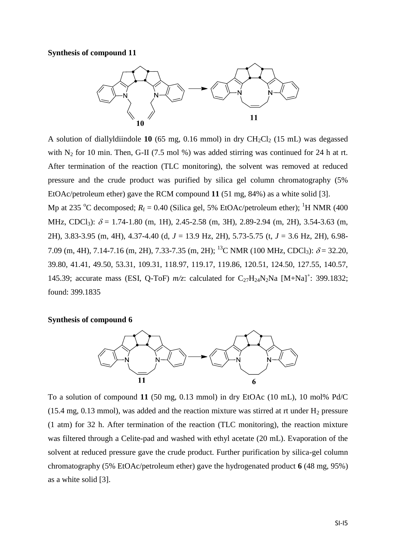#### **Synthesis of compound 11**



A solution of diallyldiindole **10** (65 mg, 0.16 mmol) in dry  $CH_2Cl_2$  (15 mL) was degassed with  $N_2$  for 10 min. Then, G-II (7.5 mol %) was added stirring was continued for 24 h at rt. After termination of the reaction (TLC monitoring), the solvent was removed at reduced pressure and the crude product was purified by silica gel column chromatography (5% EtOAc/petroleum ether) gave the RCM compound **11** (51 mg, 84%) as a white solid [3]. Mp at 235 °C decomposed;  $R_f = 0.40$  (Silica gel, 5% EtOAc/petroleum ether); <sup>1</sup>H NMR (400 MHz, CDCl<sub>3</sub>):  $\delta$  = 1.74-1.80 (m, 1H), 2.45-2.58 (m, 3H), 2.89-2.94 (m, 2H), 3.54-3.63 (m, 2H), 3.83-3.95 (m, 4H), 4.37-4.40 (d, *J* = 13.9 Hz, 2H), 5.73-5.75 (t, *J* = 3.6 Hz, 2H), 6.98-

7.09 (m, 4H), 7.14-7.16 (m, 2H), 7.33-7.35 (m, 2H); <sup>13</sup>C NMR (100 MHz, CDCl<sub>3</sub>):  $\delta$  = 32.20, 39.80, 41.41, 49.50, 53.31, 109.31, 118.97, 119.17, 119.86, 120.51, 124.50, 127.55, 140.57, 145.39; accurate mass (ESI, Q-ToF)  $m/z$ : calculated for C<sub>27</sub>H<sub>24</sub>N<sub>2</sub>Na [M+Na]<sup>+</sup>: 399.1832; found: 399.1835

#### **Synthesis of compound 6**



To a solution of compound **11** (50 mg, 0.13 mmol) in dry EtOAc (10 mL), 10 mol% Pd/C (15.4 mg, 0.13 mmol), was added and the reaction mixture was stirred at rt under  $H_2$  pressure (1 atm) for 32 h. After termination of the reaction (TLC monitoring), the reaction mixture was filtered through a Celite-pad and washed with ethyl acetate (20 mL). Evaporation of the solvent at reduced pressure gave the crude product. Further purification by silica-gel column chromatography (5% EtOAc/petroleum ether) gave the hydrogenated product **6** (48 mg, 95%) as a white solid [3].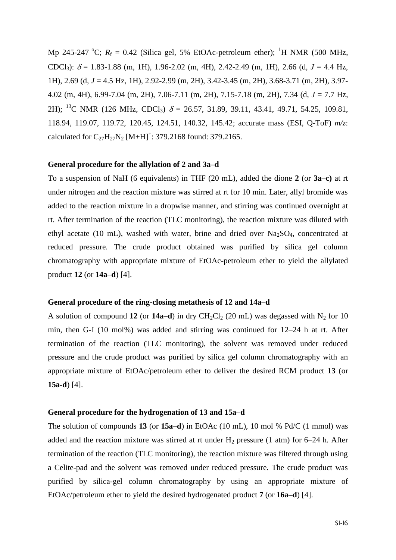Mp 245-247 <sup>o</sup>C;  $R_f = 0.42$  (Silica gel, 5% EtOAc-petroleum ether); <sup>1</sup>H NMR (500 MHz, CDCl<sub>3</sub>):  $\delta$  = 1.83-1.88 (m, 1H), 1.96-2.02 (m, 4H), 2.42-2.49 (m, 1H), 2.66 (d, *J* = 4.4 Hz, 1H), 2.69 (d, *J* = 4.5 Hz, 1H), 2.92-2.99 (m, 2H), 3.42-3.45 (m, 2H), 3.68-3.71 (m, 2H), 3.97- 4.02 (m, 4H), 6.99-7.04 (m, 2H), 7.06-7.11 (m, 2H), 7.15-7.18 (m, 2H), 7.34 (d, *J* = 7.7 Hz, 2H); <sup>13</sup>C NMR (126 MHz, CDCl<sub>3</sub>)  $\delta$  = 26.57, 31.89, 39.11, 43.41, 49.71, 54.25, 109.81, 118.94, 119.07, 119.72, 120.45, 124.51, 140.32, 145.42; accurate mass (ESI, Q-ToF) *m/z*: calculated for  $C_{27}H_{27}N_2$  [M+H]<sup>+</sup>: 379.2168 found: 379.2165.

#### **General procedure for the allylation of 2 and 3a–d**

To a suspension of NaH (6 equivalents) in THF (20 mL), added the dione **2** (or **3a–c)** at rt under nitrogen and the reaction mixture was stirred at rt for 10 min. Later, allyl bromide was added to the reaction mixture in a dropwise manner, and stirring was continued overnight at rt. After termination of the reaction (TLC monitoring), the reaction mixture was diluted with ethyl acetate (10 mL), washed with water, brine and dried over  $Na<sub>2</sub>SO<sub>4</sub>$ , concentrated at reduced pressure. The crude product obtained was purified by silica gel column chromatography with appropriate mixture of EtOAc-petroleum ether to yield the allylated product **12** (or **14a**–**d**) [4].

#### **General procedure of the ring-closing metathesis of 12 and 14a–d**

A solution of compound **12** (or **14a–d**) in dry  $CH_2Cl_2$  (20 mL) was degassed with N<sub>2</sub> for 10 min, then G-I (10 mol%) was added and stirring was continued for 12–24 h at rt. After termination of the reaction (TLC monitoring), the solvent was removed under reduced pressure and the crude product was purified by silica gel column chromatography with an appropriate mixture of EtOAc/petroleum ether to deliver the desired RCM product **13** (or **15a-d**) [4].

#### **General procedure for the hydrogenation of 13 and 15a–d**

The solution of compounds **13** (or **15a–d**) in EtOAc (10 mL), 10 mol % Pd/C (1 mmol) was added and the reaction mixture was stirred at rt under  $H_2$  pressure (1 atm) for 6–24 h. After termination of the reaction (TLC monitoring), the reaction mixture was filtered through using a Celite-pad and the solvent was removed under reduced pressure. The crude product was purified by silica-gel column chromatography by using an appropriate mixture of EtOAc/petroleum ether to yield the desired hydrogenated product **7** (or **16a–d**) [4].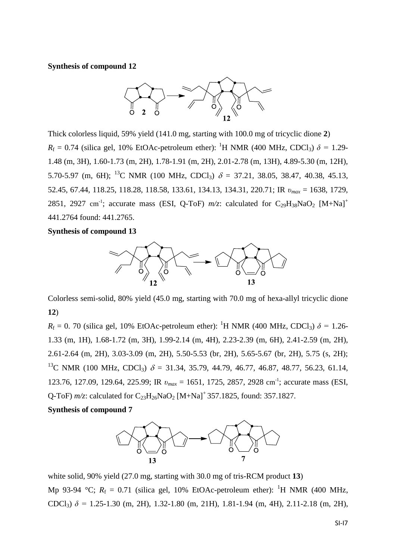#### **Synthesis of compound 12**



Thick colorless liquid, 59% yield (141.0 mg, starting with 100.0 mg of tricyclic dione **2**)  $R_f = 0.74$  (silica gel, 10% EtOAc-petroleum ether): <sup>1</sup>H NMR (400 MHz, CDCl<sub>3</sub>)  $\delta = 1.29$ -1.48 (m, 3H), 1.60-1.73 (m, 2H), 1.78-1.91 (m, 2H), 2.01-2.78 (m, 13H), 4.89-5.30 (m, 12H), 5.70-5.97 (m, 6H); <sup>13</sup>C NMR (100 MHz, CDCl<sub>3</sub>)  $\delta = 37.21, 38.05, 38.47, 40.38, 45.13,$ 52.45, 67.44, 118.25, 118.28, 118.58, 133.61, 134.13, 134.31, 220.71; IR *υmax* = 1638, 1729, 2851, 2927 cm<sup>-1</sup>; accurate mass (ESI, Q-ToF)  $m/z$ : calculated for C<sub>29</sub>H<sub>38</sub>NaO<sub>2</sub> [M+Na]<sup>+</sup> 441.2764 found: 441.2765.

#### **Synthesis of compound 13**



Colorless semi-solid, 80% yield (45.0 mg, starting with 70.0 mg of hexa-allyl tricyclic dione **12**)

 $R_f = 0$ . 70 (silica gel, 10% EtOAc-petroleum ether): <sup>1</sup>H NMR (400 MHz, CDCl<sub>3</sub>)  $\delta = 1.26$ -1.33 (m, 1H), 1.68-1.72 (m, 3H), 1.99-2.14 (m, 4H), 2.23-2.39 (m, 6H), 2.41-2.59 (m, 2H), 2.61-2.64 (m, 2H), 3.03-3.09 (m, 2H), 5.50-5.53 (br, 2H), 5.65-5.67 (br, 2H), 5.75 (s, 2H); <sup>13</sup>C NMR (100 MHz, CDCl<sub>3</sub>)  $\delta$  = 31.34, 35.79, 44.79, 46.77, 46.87, 48.77, 56.23, 61.14, 123.76, 127.09, 129.64, 225.99; IR  $v_{max} = 1651$ , 1725, 2857, 2928 cm<sup>-1</sup>; accurate mass (ESI, Q-ToF) *m/z*: calculated for C<sub>23</sub>H<sub>26</sub>NaO<sub>2</sub> [M+Na]<sup>+</sup> 357.1825, found: 357.1827.

#### **Synthesis of compound 7**



white solid, 90% yield (27.0 mg, starting with 30.0 mg of tris-RCM product **13**) Mp 93-94 °C;  $R_f = 0.71$  (silica gel, 10% EtOAc-petroleum ether): <sup>1</sup>H NMR (400 MHz, CDCl<sub>3</sub>)  $\delta$  = 1.25-1.30 (m, 2H), 1.32-1.80 (m, 21H), 1.81-1.94 (m, 4H), 2.11-2.18 (m, 2H),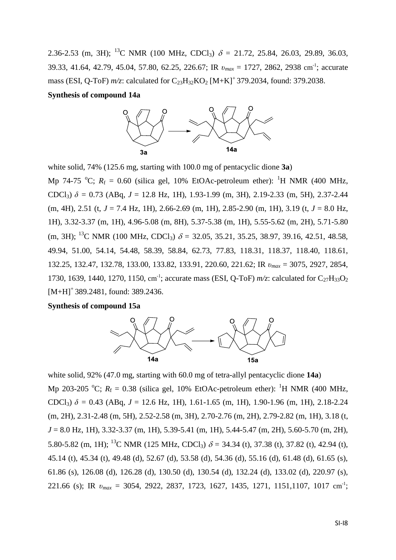2.36-2.53 (m, 3H); <sup>13</sup>C NMR (100 MHz, CDCl<sub>3</sub>)  $\delta$  = 21.72, 25.84, 26.03, 29.89, 36.03, 39.33, 41.64, 42.79, 45.04, 57.80, 62.25, 226.67; IR *υmax* = 1727, 2862, 2938 cm-1 ; accurate mass (ESI, Q-ToF) *m/z*: calculated for C<sub>23</sub>H<sub>32</sub>KO<sub>2</sub> [M+K]<sup>+</sup> 379.2034, found: 379.2038.

#### **Synthesis of compound 14a**



white solid, 74% (125.6 mg, starting with 100.0 mg of pentacyclic dione **3a**)

Mp 74-75 <sup>o</sup>C;  $R_f = 0.60$  (silica gel, 10% EtOAc-petroleum ether): <sup>1</sup>H NMR (400 MHz, CDCl<sub>3</sub>)  $\delta$  = 0.73 (ABq, *J* = 12.8 Hz, 1H), 1.93-1.99 (m, 3H), 2.19-2.33 (m, 5H), 2.37-2.44 (m, 4H), 2.51 (t, *J* = 7.4 Hz, 1H), 2.66-2.69 (m, 1H), 2.85-2.90 (m, 1H), 3.19 (t, *J* = 8.0 Hz, 1H), 3.32-3.37 (m, 1H), 4.96-5.08 (m, 8H), 5.37-5.38 (m, 1H), 5.55-5.62 (m, 2H), 5.71-5.80 (m, 3H); <sup>13</sup>C NMR (100 MHz, CDCl<sub>3</sub>)  $\delta$  = 32.05, 35.21, 35.25, 38.97, 39.16, 42.51, 48.58, 49.94, 51.00, 54.14, 54.48, 58.39, 58.84, 62.73, 77.83, 118.31, 118.37, 118.40, 118.61, 132.25, 132.47, 132.78, 133.00, 133.82, 133.91, 220.60, 221.62; IR *υmax* = 3075, 2927, 2854, 1730, 1639, 1440, 1270, 1150, cm<sup>-1</sup>; accurate mass (ESI, Q-ToF)  $m/z$ : calculated for C<sub>27</sub>H<sub>33</sub>O<sub>2</sub>  $[M+H]^+$  389.2481, found: 389.2436.

#### **Synthesis of compound 15a**



white solid, 92% (47.0 mg, starting with 60.0 mg of tetra-allyl pentacyclic dione **14a**) Mp 203-205 °C;  $R_f = 0.38$  (silica gel, 10% EtOAc-petroleum ether): <sup>1</sup>H NMR (400 MHz, CDCl<sub>3</sub>)  $\delta$  = 0.43 (ABq, *J* = 12.6 Hz, 1H), 1.61-1.65 (m, 1H), 1.90-1.96 (m, 1H), 2.18-2.24 (m, 2H), 2.31-2.48 (m, 5H), 2.52-2.58 (m, 3H), 2.70-2.76 (m, 2H), 2.79-2.82 (m, 1H), 3.18 (t, *J* = 8.0 Hz, 1H), 3.32-3.37 (m, 1H), 5.39-5.41 (m, 1H), 5.44-5.47 (m, 2H), 5.60-5.70 (m, 2H), 5.80-5.82 (m, 1H); <sup>13</sup>C NMR (125 MHz, CDCl<sub>3</sub>)  $\delta$  = 34.34 (t), 37.38 (t), 37.82 (t), 42.94 (t), 45.14 (t), 45.34 (t), 49.48 (d), 52.67 (d), 53.58 (d), 54.36 (d), 55.16 (d), 61.48 (d), 61.65 (s), 61.86 (s), 126.08 (d), 126.28 (d), 130.50 (d), 130.54 (d), 132.24 (d), 133.02 (d), 220.97 (s), 221.66 (s); IR *υmax* = 3054, 2922, 2837, 1723, 1627, 1435, 1271, 1151,1107, 1017 cm-1 ;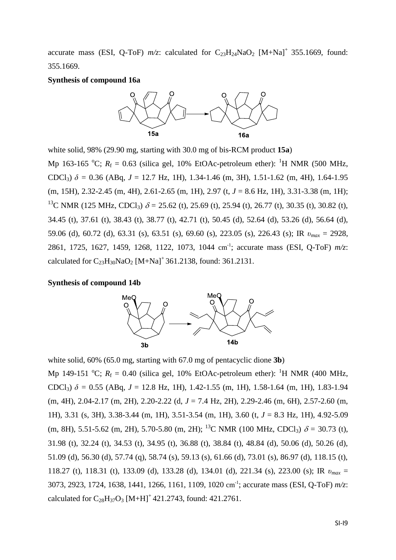accurate mass (ESI, Q-ToF)  $m/z$ : calculated for  $C_{23}H_{24}NaO_2$  [M+Na]<sup>+</sup> 355.1669, found: 355.1669.

#### **Synthesis of compound 16a**



white solid, 98% (29.90 mg, starting with 30.0 mg of bis-RCM product **15a**) Mp 163-165 <sup>o</sup>C;  $R_f = 0.63$  (silica gel, 10% EtOAc-petroleum ether): <sup>1</sup>H NMR (500 MHz, CDCl<sub>3</sub>)  $\delta$  = 0.36 (ABq, *J* = 12.7 Hz, 1H), 1.34-1.46 (m, 3H), 1.51-1.62 (m, 4H), 1.64-1.95 (m, 15H), 2.32-2.45 (m, 4H), 2.61-2.65 (m, 1H), 2.97 (t, *J* = 8.6 Hz, 1H), 3.31-3.38 (m, 1H); <sup>13</sup>C NMR (125 MHz, CDCl<sub>3</sub>)  $\delta$  = 25.62 (t), 25.69 (t), 25.94 (t), 26.77 (t), 30.35 (t), 30.82 (t), 34.45 (t), 37.61 (t), 38.43 (t), 38.77 (t), 42.71 (t), 50.45 (d), 52.64 (d), 53.26 (d), 56.64 (d), 59.06 (d), 60.72 (d), 63.31 (s), 63.51 (s), 69.60 (s), 223.05 (s), 226.43 (s); IR *υmax* = 2928, 2861, 1725, 1627, 1459, 1268, 1122, 1073, 1044 cm-1 ; accurate mass (ESI, Q-ToF) *m/z*: calculated for  $C_{23}H_{30}NaO_2$  [M+Na]<sup>+</sup> 361.2138, found: 361.2131.

#### **Synthesis of compound 14b**



white solid, 60% (65.0 mg, starting with 67.0 mg of pentacyclic dione **3b**) Mp 149-151 <sup>o</sup>C;  $R_f = 0.40$  (silica gel, 10% EtOAc-petroleum ether): <sup>1</sup>H NMR (400 MHz, CDCl<sub>3</sub>)  $\delta$  = 0.55 (ABq, *J* = 12.8 Hz, 1H), 1.42-1.55 (m, 1H), 1.58-1.64 (m, 1H), 1.83-1.94 (m, 4H), 2.04-2.17 (m, 2H), 2.20-2.22 (d, *J* = 7.4 Hz, 2H), 2.29-2.46 (m, 6H), 2.57-2.60 (m, 1H), 3.31 (s, 3H), 3.38-3.44 (m, 1H), 3.51-3.54 (m, 1H), 3.60 (t, *J* = 8.3 Hz, 1H), 4.92-5.09 (m, 8H), 5.51-5.62 (m, 2H), 5.70-5.80 (m, 2H); <sup>13</sup>C NMR (100 MHz, CDCl<sub>3</sub>)  $\delta$  = 30.73 (t), 31.98 (t), 32.24 (t), 34.53 (t), 34.95 (t), 36.88 (t), 38.84 (t), 48.84 (d), 50.06 (d), 50.26 (d), 51.09 (d), 56.30 (d), 57.74 (q), 58.74 (s), 59.13 (s), 61.66 (d), 73.01 (s), 86.97 (d), 118.15 (t), 118.27 (t), 118.31 (t), 133.09 (d), 133.28 (d), 134.01 (d), 221.34 (s), 223.00 (s); IR *υmax* = 3073, 2923, 1724, 1638, 1441, 1266, 1161, 1109, 1020 cm-1 ; accurate mass (ESI, Q-ToF) *m/z*: calculated for  $C_{28}H_{37}O_3$  [M+H]<sup>+</sup> 421.2743, found: 421.2761.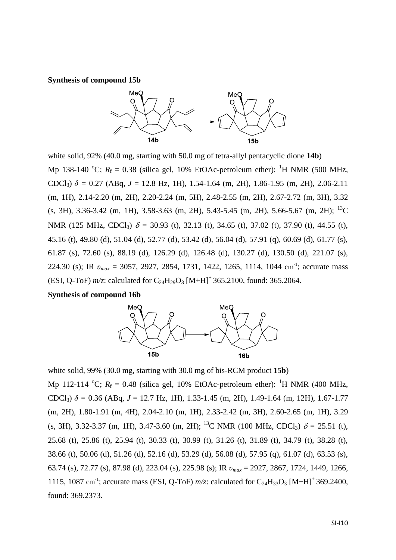#### **Synthesis of compound 15b**



white solid, 92% (40.0 mg, starting with 50.0 mg of tetra-allyl pentacyclic dione **14b**) Mp 138-140 <sup>o</sup>C;  $R_f = 0.38$  (silica gel, 10% EtOAc-petroleum ether): <sup>1</sup>H NMR (500 MHz, CDCl<sub>3</sub>)  $\delta$  = 0.27 (ABq, *J* = 12.8 Hz, 1H), 1.54-1.64 (m, 2H), 1.86-1.95 (m, 2H), 2.06-2.11 (m, 1H), 2.14-2.20 (m, 2H), 2.20-2.24 (m, 5H), 2.48-2.55 (m, 2H), 2.67-2.72 (m, 3H), 3.32  $(s, 3H)$ , 3.36-3.42 (m, 1H), 3.58-3.63 (m, 2H), 5.43-5.45 (m, 2H), 5.66-5.67 (m, 2H); <sup>13</sup>C NMR (125 MHz, CDCl<sub>3</sub>)  $\delta$  = 30.93 (t), 32.13 (t), 34.65 (t), 37.02 (t), 37.90 (t), 44.55 (t), 45.16 (t), 49.80 (d), 51.04 (d), 52.77 (d), 53.42 (d), 56.04 (d), 57.91 (q), 60.69 (d), 61.77 (s), 61.87 (s), 72.60 (s), 88.19 (d), 126.29 (d), 126.48 (d), 130.27 (d), 130.50 (d), 221.07 (s), 224.30 (s); IR  $v_{max} = 3057, 2927, 2854, 1731, 1422, 1265, 1114, 1044$  cm<sup>-1</sup>; accurate mass (ESI, Q-ToF)  $m/z$ : calculated for C<sub>24</sub>H<sub>29</sub>O<sub>3</sub> [M+H]<sup>+</sup> 365.2100, found: 365.2064.

#### **Synthesis of compound 16b**



white solid, 99% (30.0 mg, starting with 30.0 mg of bis-RCM product **15b**) Mp 112-114 <sup>o</sup>C;  $R_f = 0.48$  (silica gel, 10% EtOAc-petroleum ether): <sup>1</sup>H NMR (400 MHz, CDCl<sub>3</sub>)  $\delta$  = 0.36 (ABq, *J* = 12.7 Hz, 1H), 1.33-1.45 (m, 2H), 1.49-1.64 (m, 12H), 1.67-1.77 (m, 2H), 1.80-1.91 (m, 4H), 2.04-2.10 (m, 1H), 2.33-2.42 (m, 3H), 2.60-2.65 (m, 1H), 3.29 (s, 3H), 3.32-3.37 (m, 1H), 3.47-3.60 (m, 2H); <sup>13</sup>C NMR (100 MHz, CDCl<sub>3</sub>)  $\delta$  = 25.51 (t), 25.68 (t), 25.86 (t), 25.94 (t), 30.33 (t), 30.99 (t), 31.26 (t), 31.89 (t), 34.79 (t), 38.28 (t), 38.66 (t), 50.06 (d), 51.26 (d), 52.16 (d), 53.29 (d), 56.08 (d), 57.95 (q), 61.07 (d), 63.53 (s), 63.74 (s), 72.77 (s), 87.98 (d), 223.04 (s), 225.98 (s); IR *υmax* = 2927, 2867, 1724, 1449, 1266, 1115, 1087 cm<sup>-1</sup>; accurate mass (ESI, Q-ToF)  $m/z$ : calculated for C<sub>24</sub>H<sub>33</sub>O<sub>3</sub> [M+H]<sup>+</sup> 369.2400, found: 369.2373.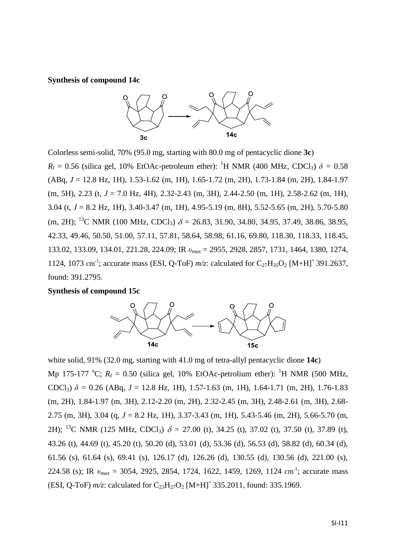**Synthesis of compound 14c**



Colorless semi-solid, 70% (95.0 mg, starting with 80.0 mg of pentacyclic dione **3c**)  $R_f = 0.56$  (silica gel, 10% EtOAc-petroleum ether): <sup>1</sup>H NMR (400 MHz, CDCl<sub>3</sub>)  $\delta = 0.58$ (ABq, *J* = 12.8 Hz, 1H), 1.53-1.62 (m, 1H), 1.65-1.72 (m, 2H), 1.73-1.84 (m, 2H), 1.84-1.97 (m, 5H), 2.23 (t, *J* = 7.0 Hz, 4H), 2.32-2.43 (m, 3H), 2.44-2.50 (m, 1H), 2.58-2.62 (m, 1H), 3.04 (t, *J* = 8.2 Hz, 1H), 3.40-3.47 (m, 1H), 4.95-5.19 (m, 8H), 5.52-5.65 (m, 2H), 5.70-5.80 (m, 2H); <sup>13</sup>C NMR (100 MHz, CDCl<sub>3</sub>)  $\delta$  = 26.83, 31.90, 34.80, 34.95, 37.49, 38.86, 38.95, 42.33, 49.46, 50.50, 51.00, 57.11, 57.81, 58.64, 58.98, 61.16, 69.80, 118.30, 118.33, 118.45, 133.02, 133.09, 134.01, 221.28, 224.09; IR *υmax* = 2955, 2928, 2857, 1731, 1464, 1380, 1274, 1124, 1073 cm<sup>-1</sup>; accurate mass (ESI, Q-ToF)  $m/z$ : calculated for C<sub>27</sub>H<sub>35</sub>O<sub>2</sub> [M+H]<sup>+</sup>391.2637, found: 391.2795.

**Synthesis of compound 15c**



white solid, 91% (32.0 mg, starting with 41.0 mg of tetra-allyl pentacyclic dione **14c**) Mp 175-177 °C;  $R_f = 0.50$  (silica gel, 10% EtOAc-petrolium ether): <sup>1</sup>H NMR (500 MHz, CDCl<sub>3</sub>)  $\delta$  = 0.26 (ABq, *J* = 12.8 Hz, 1H), 1.57-1.63 (m, 1H), 1.64-1.71 (m, 2H), 1.76-1.83 (m, 2H), 1.84-1.97 (m, 3H), 2.12-2.20 (m, 2H), 2.32-2.45 (m, 3H), 2.48-2.61 (m, 3H), 2.68- 2.75 (m, 3H), 3.04 (q, *J* = 8.2 Hz, 1H), 3.37-3.43 (m, 1H), 5.43-5.46 (m, 2H), 5.66-5.70 (m, 2H); <sup>13</sup>C NMR (125 MHz, CDCl<sub>3</sub>)  $\delta = 27.00$  (t), 34.25 (t), 37.02 (t), 37.50 (t), 37.89 (t), 43.26 (t), 44.69 (t), 45.20 (t), 50.20 (d), 53.01 (d), 53.36 (d), 56.53 (d), 58.82 (d), 60.34 (d), 61.56 (s), 61.64 (s), 69.41 (s), 126.17 (d), 126.26 (d), 130.55 (d), 130.56 (d), 221.00 (s), 224.58 (s); IR  $v_{max} = 3054$ , 2925, 2854, 1724, 1622, 1459, 1269, 1124 cm<sup>-1</sup>; accurate mass (ESI, Q-ToF)  $m/z$ : calculated for C<sub>23</sub>H<sub>27</sub>O<sub>2</sub> [M+H]<sup>+</sup>335.2011, found: 335.1969.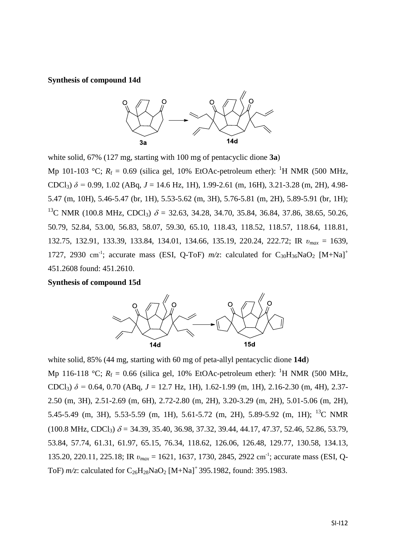**Synthesis of compound 14d**



white solid, 67% (127 mg, starting with 100 mg of pentacyclic dione **3a**) Mp 101-103 °C;  $R_f = 0.69$  (silica gel, 10% EtOAc-petroleum ether): <sup>1</sup>H NMR (500 MHz, CDCl<sub>3</sub>)  $\delta$  = 0.99, 1.02 (ABq, *J* = 14.6 Hz, 1H), 1.99-2.61 (m, 16H), 3.21-3.28 (m, 2H), 4.98-5.47 (m, 10H), 5.46-5.47 (br, 1H), 5.53-5.62 (m, 3H), 5.76-5.81 (m, 2H), 5.89-5.91 (br, 1H); <sup>13</sup>C NMR (100.8 MHz, CDCl<sub>3</sub>)  $\delta$  = 32.63, 34.28, 34.70, 35.84, 36.84, 37.86, 38.65, 50.26, 50.79, 52.84, 53.00, 56.83, 58.07, 59.30, 65.10, 118.43, 118.52, 118.57, 118.64, 118.81, 132.75, 132.91, 133.39, 133.84, 134.01, 134.66, 135.19, 220.24, 222.72; IR *υmax* = 1639, 1727, 2930 cm<sup>-1</sup>; accurate mass (ESI, Q-ToF)  $m/z$ : calculated for C<sub>30</sub>H<sub>36</sub>NaO<sub>2</sub> [M+Na]<sup>+</sup> 451.2608 found: 451.2610.

**Synthesis of compound 15d** 



white solid, 85% (44 mg, starting with 60 mg of peta-allyl pentacyclic dione **14d**) Mp 116-118 °C;  $R_f = 0.66$  (silica gel, 10% EtOAc-petroleum ether): <sup>1</sup>H NMR (500 MHz, CDCl<sub>3</sub>)  $\delta$  = 0.64, 0.70 (ABq, *J* = 12.7 Hz, 1H), 1.62-1.99 (m, 1H), 2.16-2.30 (m, 4H), 2.37-2.50 (m, 3H), 2.51-2.69 (m, 6H), 2.72-2.80 (m, 2H), 3.20-3.29 (m, 2H), 5.01-5.06 (m, 2H), 5.45-5.49 (m, 3H), 5.53-5.59 (m, 1H), 5.61-5.72 (m, 2H), 5.89-5.92 (m, 1H); <sup>13</sup>C NMR  $(100.8 \text{ MHz}, \text{CDCl}_3)$   $\delta = 34.39, 35.40, 36.98, 37.32, 39.44, 44.17, 47.37, 52.46, 52.86, 53.79,$ 53.84, 57.74, 61.31, 61.97, 65.15, 76.34, 118.62, 126.06, 126.48, 129.77, 130.58, 134.13, 135.20, 220.11, 225.18; IR  $v_{max}$  = 1621, 1637, 1730, 2845, 2922 cm<sup>-1</sup>; accurate mass (ESI, Q-ToF)  $m/z$ : calculated for  $C_{26}H_{28}NaO_2$  [M+Na]<sup>+</sup> 395.1982, found: 395.1983.